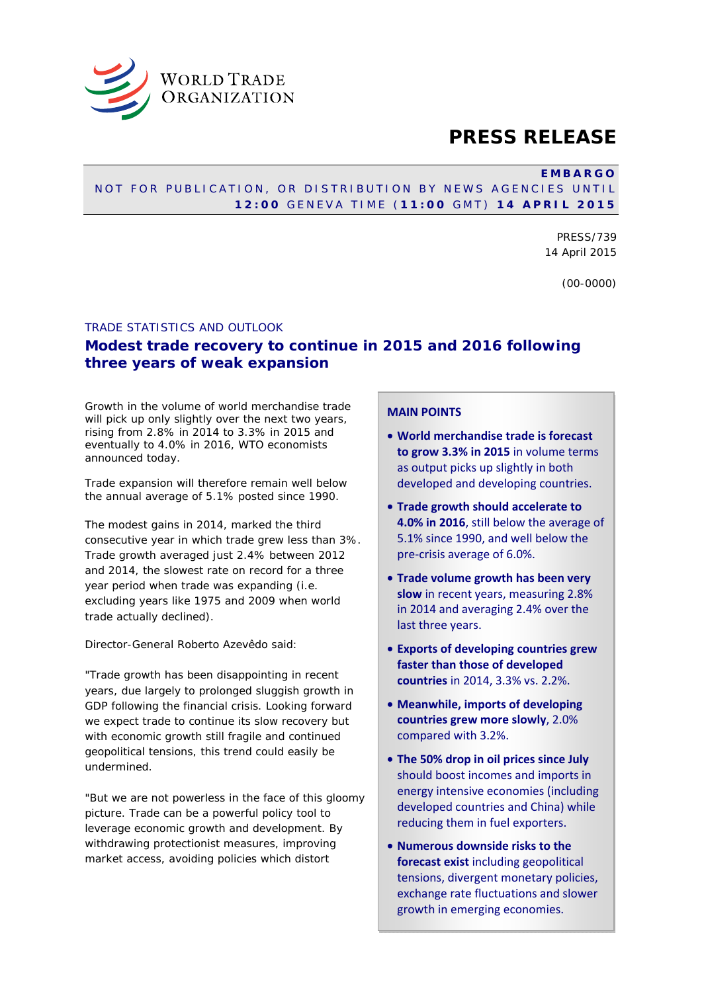

## **PRESS RELEASE**

#### **EMBARGO**

#### NOT FOR PUBLICATION, OR DISTRIBUTION BY NEWS AGENCIES UNTIL **12:00** GENEVA TIME ( **11:00** GMT) **14 APRIL 2015**

PRESS/739 14 April 2015

(00-0000)

#### TRADE STATISTICS AND OUTLOOK

## **Modest trade recovery to continue in 2015 and 2016 following three years of weak expansion**

Growth in the volume of world merchandise trade will pick up only slightly over the next two years, rising from 2.8% in 2014 to 3.3% in 2015 and eventually to 4.0% in 2016, WTO economists announced today.

Trade expansion will therefore remain well below the annual average of 5.1% posted since 1990.

The modest gains in 2014, marked the third consecutive year in which trade grew less than 3%. Trade growth averaged just 2.4% between 2012 and 2014, the slowest rate on record for a three year period when trade was expanding (i.e. excluding years like 1975 and 2009 when world trade actually declined).

Director-General Roberto Azevêdo said:

"Trade growth has been disappointing in recent years, due largely to prolonged sluggish growth in GDP following the financial crisis. Looking forward we expect trade to continue its slow recovery but with economic growth still fragile and continued geopolitical tensions, this trend could easily be undermined.

"But we are not powerless in the face of this gloomy picture. Trade can be a powerful policy tool to leverage economic growth and development. By withdrawing protectionist measures, improving market access, avoiding policies which distort

## **MAIN POINTS**

- **World merchandise trade is forecast to grow 3.3% in 2015** in volume terms as output picks up slightly in both developed and developing countries.
- **Trade growth should accelerate to 4.0% in 2016**, still below the average of 5.1% since 1990, and well below the pre-crisis average of 6.0%.
- **Trade volume growth has been very slow** in recent years, measuring 2.8% in 2014 and averaging 2.4% over the last three years.
- **Exports of developing countries grew faster than those of developed countries** in 2014, 3.3% vs. 2.2%.
- **Meanwhile, imports of developing countries grew more slowly**, 2.0% compared with 3.2%.
- **The 50% drop in oil prices since July**  should boost incomes and imports in energy intensive economies (including developed countries and China) while reducing them in fuel exporters.
- **Numerous downside risks to the forecast exist** including geopolitical tensions, divergent monetary policies, exchange rate fluctuations and slower growth in emerging economies.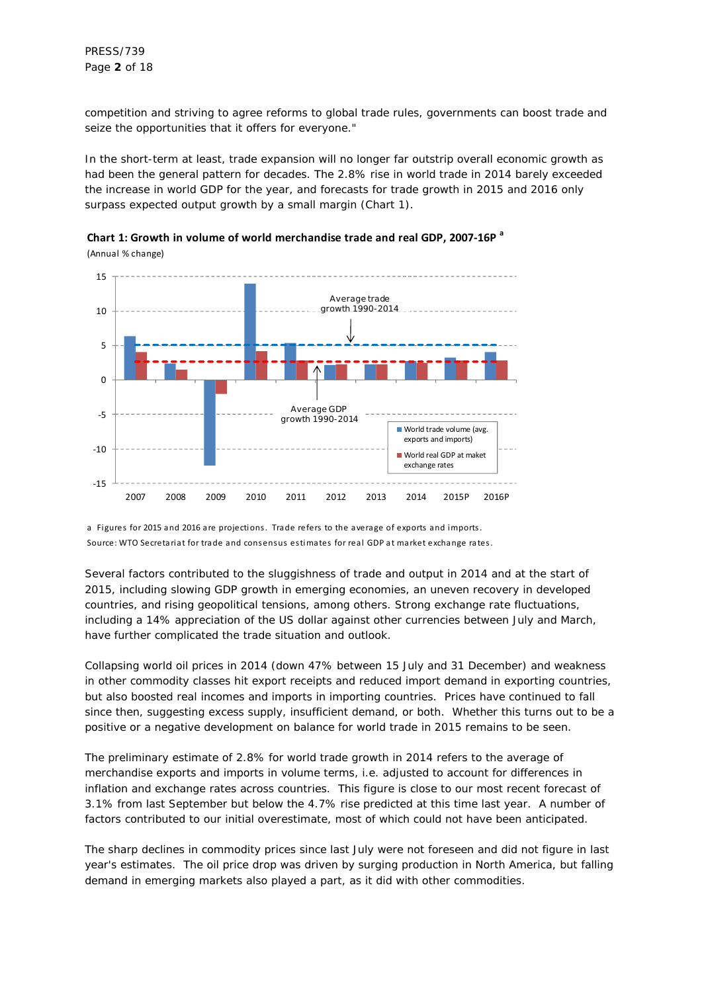PRESS/739 Page **2** of 18

competition and striving to agree reforms to global trade rules, governments can boost trade and seize the opportunities that it offers for everyone."

In the short-term at least, trade expansion will no longer far outstrip overall economic growth as had been the general pattern for decades. The 2.8% rise in world trade in 2014 barely exceeded the increase in world GDP for the year, and forecasts for trade growth in 2015 and 2016 only surpass expected output growth by a small margin (Chart 1).





a Figures for 2015 and 2016 are projections. Trade refers to the average of exports and imports . Source: WTO Secretariat for trade and consensus estimates for real GDP at market exchange rates .

Several factors contributed to the sluggishness of trade and output in 2014 and at the start of 2015, including slowing GDP growth in emerging economies, an uneven recovery in developed countries, and rising geopolitical tensions, among others. Strong exchange rate fluctuations, including a 14% appreciation of the US dollar against other currencies between July and March, have further complicated the trade situation and outlook.

Collapsing world oil prices in 2014 (down 47% between 15 July and 31 December) and weakness in other commodity classes hit export receipts and reduced import demand in exporting countries, but also boosted real incomes and imports in importing countries. Prices have continued to fall since then, suggesting excess supply, insufficient demand, or both. Whether this turns out to be a positive or a negative development on balance for world trade in 2015 remains to be seen.

The preliminary estimate of 2.8% for world trade growth in 2014 refers to the average of merchandise exports and imports in volume terms, i.e. adjusted to account for differences in inflation and exchange rates across countries. This figure is close to our most recent forecast of 3.1% from last September but below the 4.7% rise predicted at this time last year. A number of factors contributed to our initial overestimate, most of which could not have been anticipated.

The sharp declines in commodity prices since last July were not foreseen and did not figure in last year's estimates. The oil price drop was driven by surging production in North America, but falling demand in emerging markets also played a part, as it did with other commodities.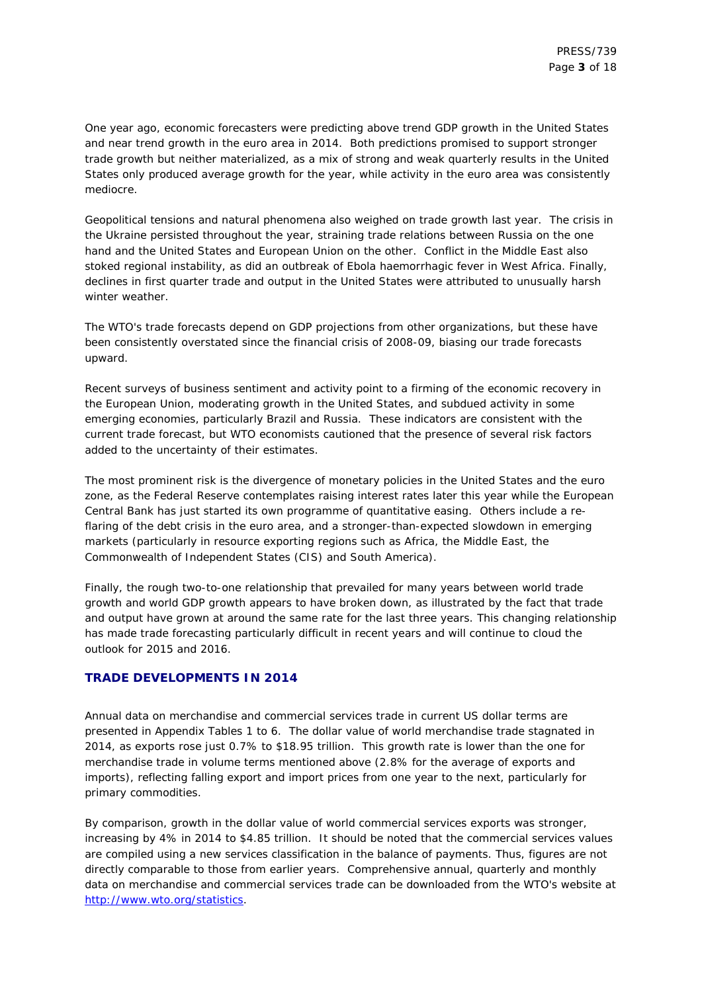One year ago, economic forecasters were predicting above trend GDP growth in the United States and near trend growth in the euro area in 2014. Both predictions promised to support stronger trade growth but neither materialized, as a mix of strong and weak quarterly results in the United States only produced average growth for the year, while activity in the euro area was consistently mediocre.

Geopolitical tensions and natural phenomena also weighed on trade growth last year. The crisis in the Ukraine persisted throughout the year, straining trade relations between Russia on the one hand and the United States and European Union on the other. Conflict in the Middle East also stoked regional instability, as did an outbreak of Ebola haemorrhagic fever in West Africa. Finally, declines in first quarter trade and output in the United States were attributed to unusually harsh winter weather.

The WTO's trade forecasts depend on GDP projections from other organizations, but these have been consistently overstated since the financial crisis of 2008-09, biasing our trade forecasts upward.

Recent surveys of business sentiment and activity point to a firming of the economic recovery in the European Union, moderating growth in the United States, and subdued activity in some emerging economies, particularly Brazil and Russia. These indicators are consistent with the current trade forecast, but WTO economists cautioned that the presence of several risk factors added to the uncertainty of their estimates.

The most prominent risk is the divergence of monetary policies in the United States and the euro zone, as the Federal Reserve contemplates raising interest rates later this year while the European Central Bank has just started its own programme of quantitative easing. Others include a reflaring of the debt crisis in the euro area, and a stronger-than-expected slowdown in emerging markets (particularly in resource exporting regions such as Africa, the Middle East, the Commonwealth of Independent States (CIS) and South America).

Finally, the rough two-to-one relationship that prevailed for many years between world trade growth and world GDP growth appears to have broken down, as illustrated by the fact that trade and output have grown at around the same rate for the last three years. This changing relationship has made trade forecasting particularly difficult in recent years and will continue to cloud the outlook for 2015 and 2016.

#### **TRADE DEVELOPMENTS IN 2014**

Annual data on merchandise and commercial services trade in current US dollar terms are presented in Appendix Tables 1 to 6. The dollar value of world merchandise trade stagnated in 2014, as exports rose just 0.7% to \$18.95 trillion. This growth rate is lower than the one for merchandise trade in volume terms mentioned above (2.8% for the average of exports and imports), reflecting falling export and import prices from one year to the next, particularly for primary commodities.

By comparison, growth in the dollar value of world commercial services exports was stronger, increasing by 4% in 2014 to \$4.85 trillion. It should be noted that the commercial services values are compiled using a new services classification in the balance of payments. Thus, figures are not directly comparable to those from earlier years. Comprehensive annual, quarterly and monthly data on merchandise and commercial services trade can be downloaded from the WTO's website at http://www.wto.org/statistics.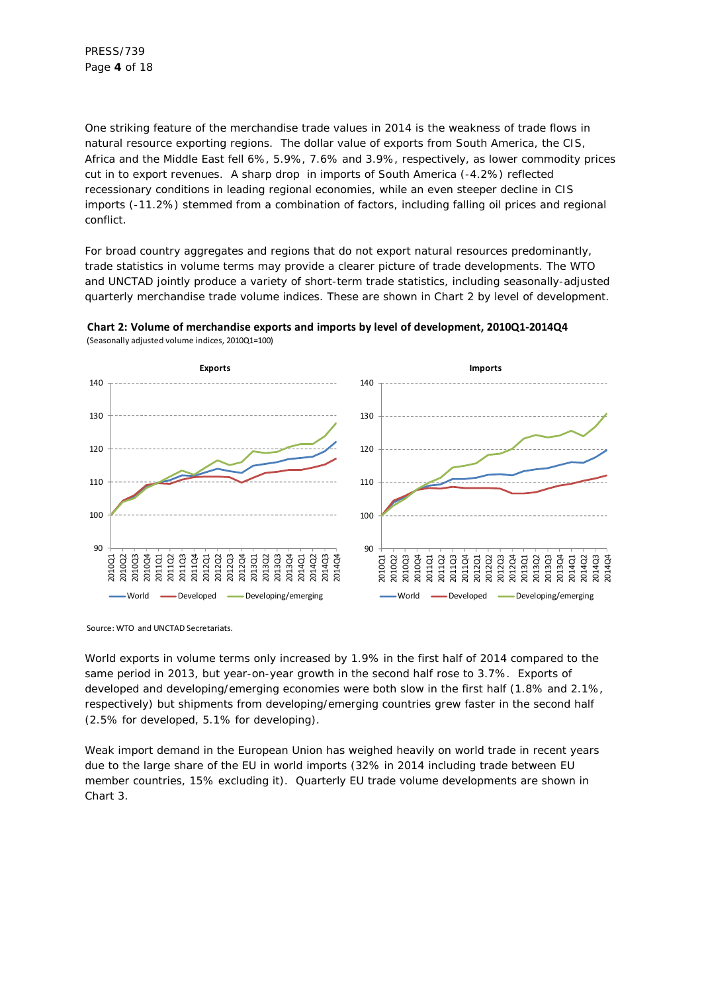One striking feature of the merchandise trade values in 2014 is the weakness of trade flows in natural resource exporting regions. The dollar value of exports from South America, the CIS, Africa and the Middle East fell 6%, 5.9%, 7.6% and 3.9%, respectively, as lower commodity prices cut in to export revenues. A sharp drop in imports of South America (-4.2%) reflected recessionary conditions in leading regional economies, while an even steeper decline in CIS imports (-11.2%) stemmed from a combination of factors, including falling oil prices and regional conflict.

For broad country aggregates and regions that do not export natural resources predominantly, trade statistics in volume terms may provide a clearer picture of trade developments. The WTO and UNCTAD jointly produce a variety of short-term trade statistics, including seasonally-adjusted quarterly merchandise trade volume indices. These are shown in Chart 2 by level of development.



**Chart 2: Volume of merchandise exports and imports by level of development, 2010Q1-2014Q4** (Seasonally adjusted volume indices, 2010Q1=100)

Source: WTO and UNCTAD Secretariats.

World exports in volume terms only increased by 1.9% in the first half of 2014 compared to the same period in 2013, but year-on-year growth in the second half rose to 3.7%. Exports of developed and developing/emerging economies were both slow in the first half (1.8% and 2.1%, respectively) but shipments from developing/emerging countries grew faster in the second half (2.5% for developed, 5.1% for developing).

Weak import demand in the European Union has weighed heavily on world trade in recent years due to the large share of the EU in world imports (32% in 2014 including trade between EU member countries, 15% excluding it). Quarterly EU trade volume developments are shown in Chart 3.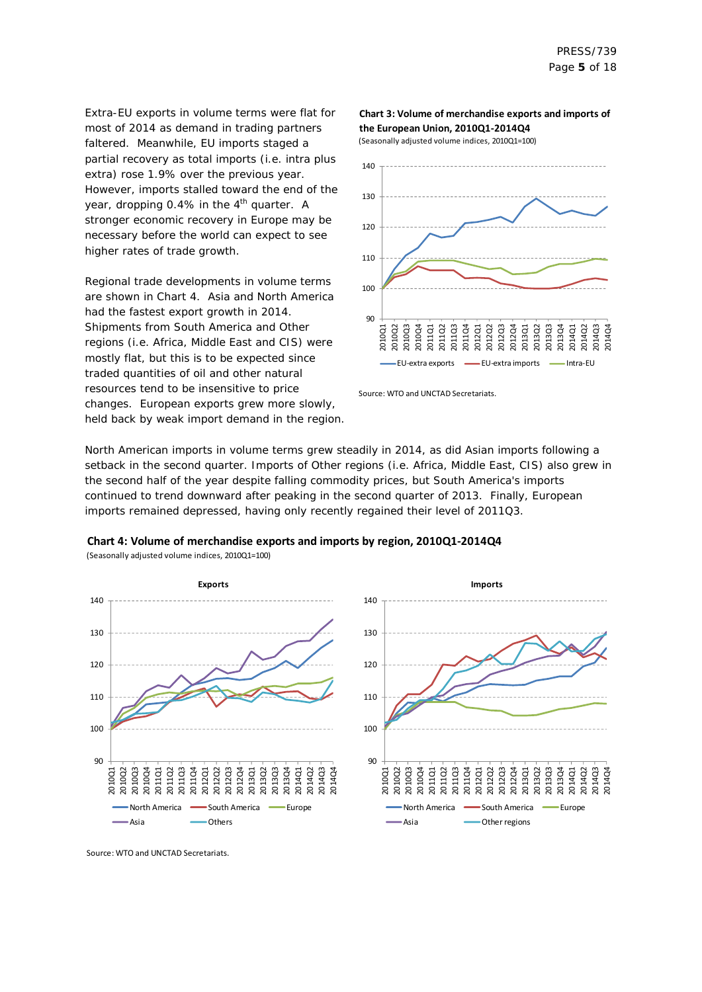Extra-EU exports in volume terms were flat for most of 2014 as demand in trading partners faltered. Meanwhile, EU imports staged a partial recovery as total imports (i.e. intra plus extra) rose 1.9% over the previous year. However, imports stalled toward the end of the year, dropping 0.4% in the  $4<sup>th</sup>$  quarter. A stronger economic recovery in Europe may be necessary before the world can expect to see higher rates of trade growth.

Regional trade developments in volume terms are shown in Chart 4. Asia and North America had the fastest export growth in 2014. Shipments from South America and Other regions (i.e. Africa, Middle East and CIS) were mostly flat, but this is to be expected since traded quantities of oil and other natural resources tend to be insensitive to price changes. European exports grew more slowly, held back by weak import demand in the region.

#### **Chart 3: Volume of merchandise exports and imports of the European Union, 2010Q1-2014Q4**

(Seasonally adjusted volume indices, 2010Q1=100)



Source: WTO and UNCTAD Secretariats.

North American imports in volume terms grew steadily in 2014, as did Asian imports following a setback in the second quarter. Imports of Other regions (i.e. Africa, Middle East, CIS) also grew in the second half of the year despite falling commodity prices, but South America's imports continued to trend downward after peaking in the second quarter of 2013. Finally, European imports remained depressed, having only recently regained their level of 2011Q3.





Source: WTO and UNCTAD Secretariats.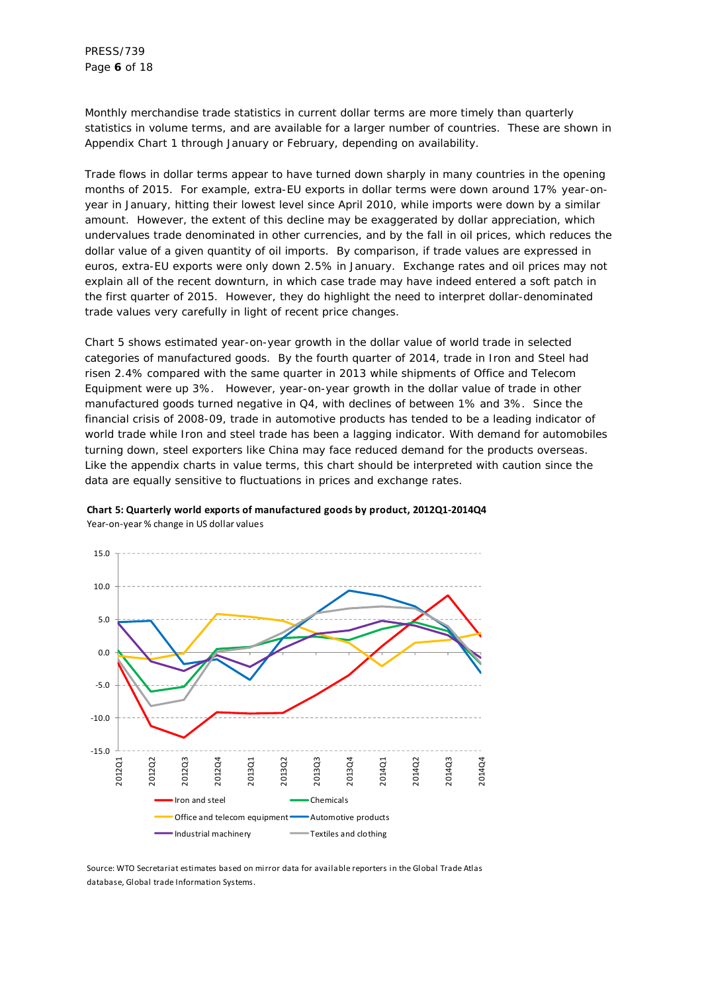PRESS/739 Page **6** of 18

Monthly merchandise trade statistics in current dollar terms are more timely than quarterly statistics in volume terms, and are available for a larger number of countries. These are shown in Appendix Chart 1 through January or February, depending on availability.

Trade flows in dollar terms appear to have turned down sharply in many countries in the opening months of 2015. For example, extra-EU exports in dollar terms were down around 17% year-onyear in January, hitting their lowest level since April 2010, while imports were down by a similar amount. However, the extent of this decline may be exaggerated by dollar appreciation, which undervalues trade denominated in other currencies, and by the fall in oil prices, which reduces the dollar value of a given quantity of oil imports. By comparison, if trade values are expressed in euros, extra-EU exports were only down 2.5% in January. Exchange rates and oil prices may not explain all of the recent downturn, in which case trade may have indeed entered a soft patch in the first quarter of 2015. However, they do highlight the need to interpret dollar-denominated trade values very carefully in light of recent price changes.

Chart 5 shows estimated year-on-year growth in the dollar value of world trade in selected categories of manufactured goods. By the fourth quarter of 2014, trade in Iron and Steel had risen 2.4% compared with the same quarter in 2013 while shipments of Office and Telecom Equipment were up 3%. However, year-on-year growth in the dollar value of trade in other manufactured goods turned negative in Q4, with declines of between 1% and 3%. Since the financial crisis of 2008-09, trade in automotive products has tended to be a leading indicator of world trade while Iron and steel trade has been a lagging indicator. With demand for automobiles turning down, steel exporters like China may face reduced demand for the products overseas. Like the appendix charts in value terms, this chart should be interpreted with caution since the data are equally sensitive to fluctuations in prices and exchange rates.



**Chart 5: Quarterly world exports of manufactured goods by product, 2012Q1-2014Q4** Year-on-year % change in US dollar values

Source: WTO Secretariat estimates based on mirror data for available reporters in the Global Trade Atlas database, Global trade Information Systems.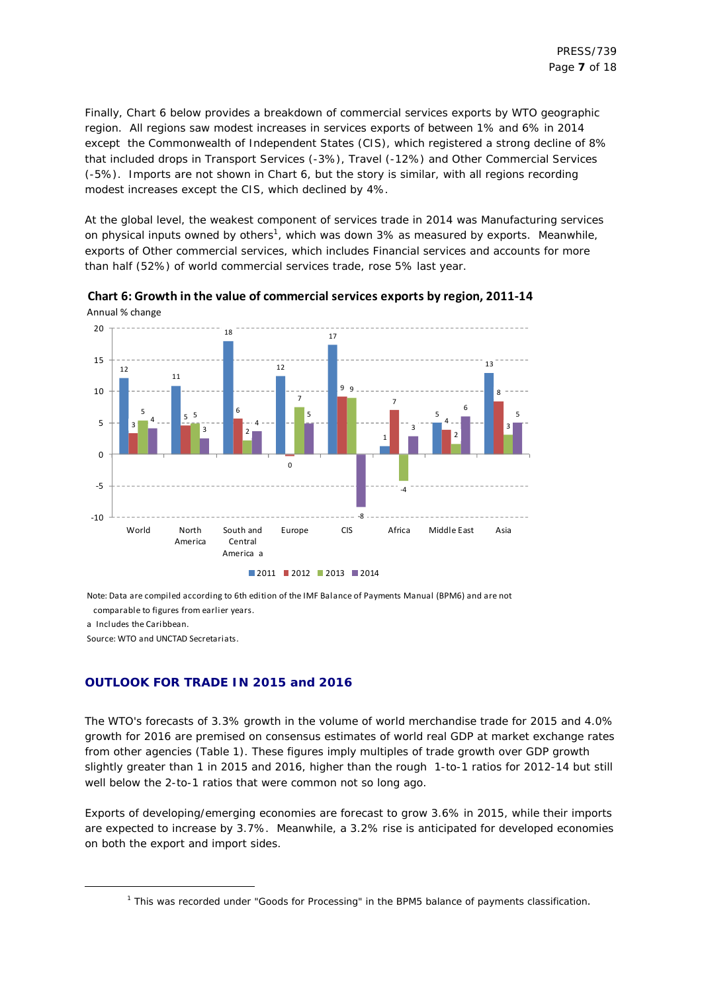Finally, Chart 6 below provides a breakdown of commercial services exports by WTO geographic region. All regions saw modest increases in services exports of between 1% and 6% in 2014 except the Commonwealth of Independent States (CIS), which registered a strong decline of 8% that included drops in Transport Services (-3%), Travel (-12%) and Other Commercial Services (-5%). Imports are not shown in Chart 6, but the story is similar, with all regions recording modest increases except the CIS, which declined by 4%.

At the global level, the weakest component of services trade in 2014 was Manufacturing services on physical inputs owned by others<sup>1</sup>, which was down 3% as measured by exports. Meanwhile, exports of Other commercial services, which includes Financial services and accounts for more than half (52%) of world commercial services trade, rose 5% last year.



**Chart 6: Growth in the value of commercial services exports by region, 2011-14** Annual % change

Note: Data are compiled according to 6th edition of the IMF Balance of Payments Manual (BPM6) and are not comparable to figures from earlier years.

a Includes the Caribbean.

-

Source: WTO and UNCTAD Secretariats.

#### **OUTLOOK FOR TRADE IN 2015 and 2016**

The WTO's forecasts of 3.3% growth in the volume of world merchandise trade for 2015 and 4.0% growth for 2016 are premised on consensus estimates of world real GDP at market exchange rates from other agencies (Table 1). These figures imply multiples of trade growth over GDP growth slightly greater than 1 in 2015 and 2016, higher than the rough 1-to-1 ratios for 2012-14 but still well below the 2-to-1 ratios that were common not so long ago.

Exports of developing/emerging economies are forecast to grow 3.6% in 2015, while their imports are expected to increase by 3.7%. Meanwhile, a 3.2% rise is anticipated for developed economies on both the export and import sides.

<sup>&</sup>lt;sup>1</sup> This was recorded under "Goods for Processing" in the BPM5 balance of payments classification.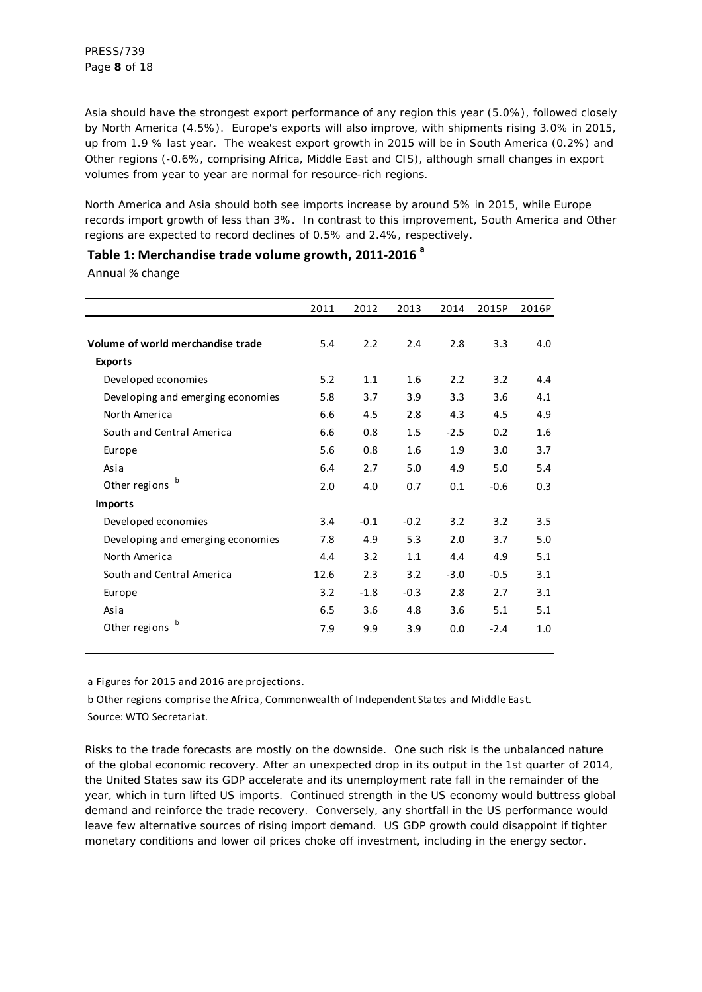Asia should have the strongest export performance of any region this year (5.0%), followed closely by North America (4.5%). Europe's exports will also improve, with shipments rising 3.0% in 2015, up from 1.9 % last year. The weakest export growth in 2015 will be in South America (0.2%) and Other regions (-0.6%, comprising Africa, Middle East and CIS), although small changes in export volumes from year to year are normal for resource-rich regions.

North America and Asia should both see imports increase by around 5% in 2015, while Europe records import growth of less than 3%. In contrast to this improvement, South America and Other regions are expected to record declines of 0.5% and 2.4%, respectively.

Annual % change

|                                   | 2011 | 2012   | 2013   | 2014   | 2015P  | 2016P |
|-----------------------------------|------|--------|--------|--------|--------|-------|
| Volume of world merchandise trade | 5.4  | 2.2    | 2.4    | 2.8    | 3.3    | 4.0   |
| <b>Exports</b>                    |      |        |        |        |        |       |
| Developed economies               | 5.2  | 1.1    | 1.6    | 2.2    | 3.2    | 4.4   |
| Developing and emerging economies | 5.8  | 3.7    | 3.9    | 3.3    | 3.6    | 4.1   |
| North America                     | 6.6  | 4.5    | 2.8    | 4.3    | 4.5    | 4.9   |
| South and Central America         | 6.6  | 0.8    | 1.5    | $-2.5$ | 0.2    | 1.6   |
| Europe                            | 5.6  | 0.8    | 1.6    | 1.9    | 3.0    | 3.7   |
| Asia                              | 6.4  | 2.7    | 5.0    | 4.9    | 5.0    | 5.4   |
| Other regions                     | 2.0  | 4.0    | 0.7    | 0.1    | $-0.6$ | 0.3   |
| <b>Imports</b>                    |      |        |        |        |        |       |
| Developed economies               | 3.4  | $-0.1$ | $-0.2$ | 3.2    | 3.2    | 3.5   |
| Developing and emerging economies | 7.8  | 4.9    | 5.3    | 2.0    | 3.7    | 5.0   |
| North America                     | 4.4  | 3.2    | 1.1    | 4.4    | 4.9    | 5.1   |
| South and Central America         | 12.6 | 2.3    | 3.2    | $-3.0$ | $-0.5$ | 3.1   |
| Europe                            | 3.2  | $-1.8$ | $-0.3$ | 2.8    | 2.7    | 3.1   |
| Asia                              | 6.5  | 3.6    | 4.8    | 3.6    | 5.1    | 5.1   |
| $\mathbf b$<br>Other regions      | 7.9  | 9.9    | 3.9    | 0.0    | $-2.4$ | 1.0   |

a Figures for 2015 and 2016 are projections.

b Other regions comprise the Africa, Commonwealth of Independent States and Middle East. Source: WTO Secretariat.

Risks to the trade forecasts are mostly on the downside. One such risk is the unbalanced nature of the global economic recovery. After an unexpected drop in its output in the 1st quarter of 2014, the United States saw its GDP accelerate and its unemployment rate fall in the remainder of the year, which in turn lifted US imports. Continued strength in the US economy would buttress global demand and reinforce the trade recovery. Conversely, any shortfall in the US performance would leave few alternative sources of rising import demand. US GDP growth could disappoint if tighter monetary conditions and lower oil prices choke off investment, including in the energy sector.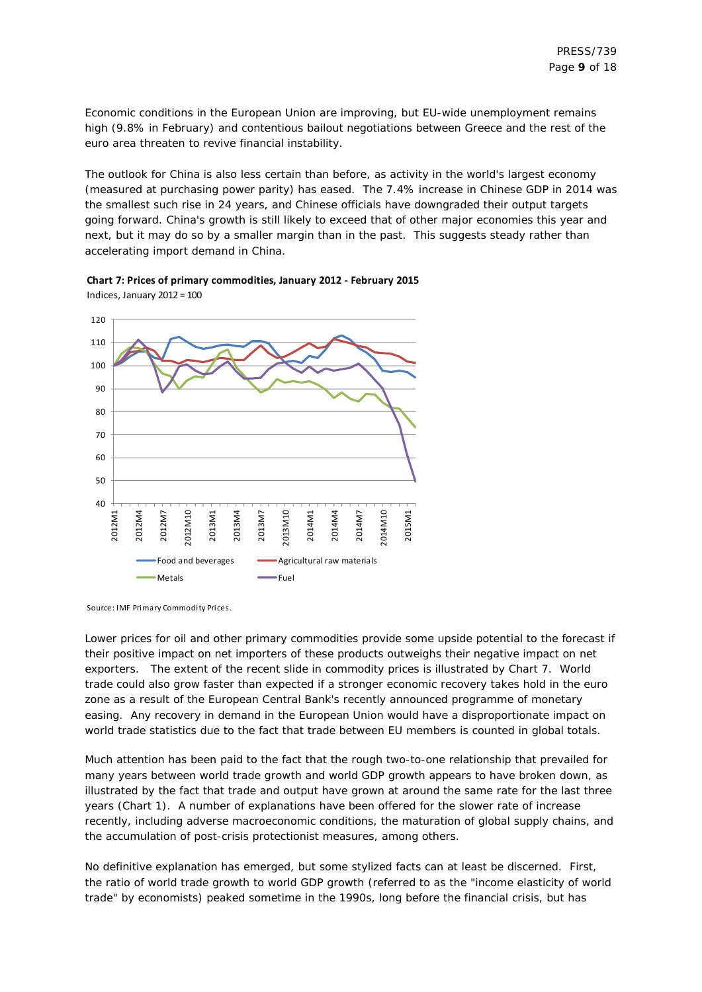Economic conditions in the European Union are improving, but EU-wide unemployment remains high (9.8% in February) and contentious bailout negotiations between Greece and the rest of the euro area threaten to revive financial instability.

The outlook for China is also less certain than before, as activity in the world's largest economy (measured at purchasing power parity) has eased. The 7.4% increase in Chinese GDP in 2014 was the smallest such rise in 24 years, and Chinese officials have downgraded their output targets going forward. China's growth is still likely to exceed that of other major economies this year and next, but it may do so by a smaller margin than in the past. This suggests steady rather than accelerating import demand in China.





Source: IMF Primary Commodity Prices.

Lower prices for oil and other primary commodities provide some upside potential to the forecast if their positive impact on net importers of these products outweighs their negative impact on net exporters. The extent of the recent slide in commodity prices is illustrated by Chart 7. World trade could also grow faster than expected if a stronger economic recovery takes hold in the euro zone as a result of the European Central Bank's recently announced programme of monetary easing. Any recovery in demand in the European Union would have a disproportionate impact on world trade statistics due to the fact that trade between EU members is counted in global totals.

Much attention has been paid to the fact that the rough two-to-one relationship that prevailed for many years between world trade growth and world GDP growth appears to have broken down, as illustrated by the fact that trade and output have grown at around the same rate for the last three years (Chart 1). A number of explanations have been offered for the slower rate of increase recently, including adverse macroeconomic conditions, the maturation of global supply chains, and the accumulation of post-crisis protectionist measures, among others.

No definitive explanation has emerged, but some stylized facts can at least be discerned. First, the ratio of world trade growth to world GDP growth (referred to as the "income elasticity of world trade" by economists) peaked sometime in the 1990s, long before the financial crisis, but has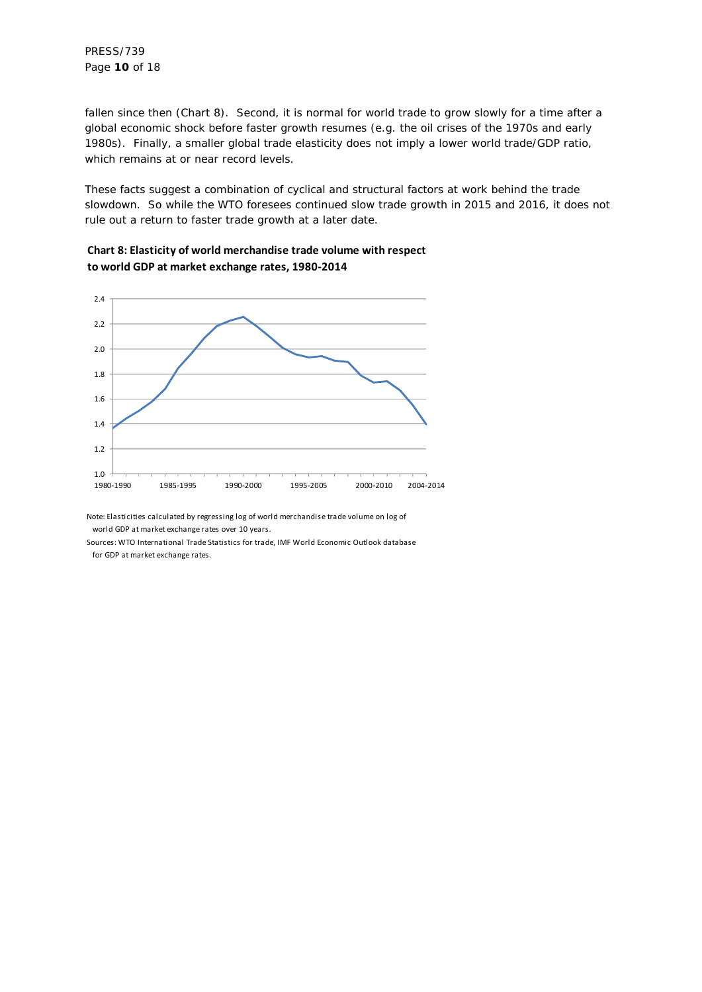fallen since then (Chart 8). Second, it is normal for world trade to grow slowly for a time after a global economic shock before faster growth resumes (e.g. the oil crises of the 1970s and early 1980s). Finally, a smaller global trade elasticity does not imply a lower world trade/GDP ratio, which remains at or near record levels.

These facts suggest a combination of cyclical and structural factors at work behind the trade slowdown. So while the WTO foresees continued slow trade growth in 2015 and 2016, it does not rule out a return to faster trade growth at a later date.





Note: Elasticities calculated by regressing log of world merchandise trade volume on log of world GDP at market exchange rates over 10 years.

Sources: WTO International Trade Statistics for trade, IMF World Economic Outlook database for GDP at market exchange rates.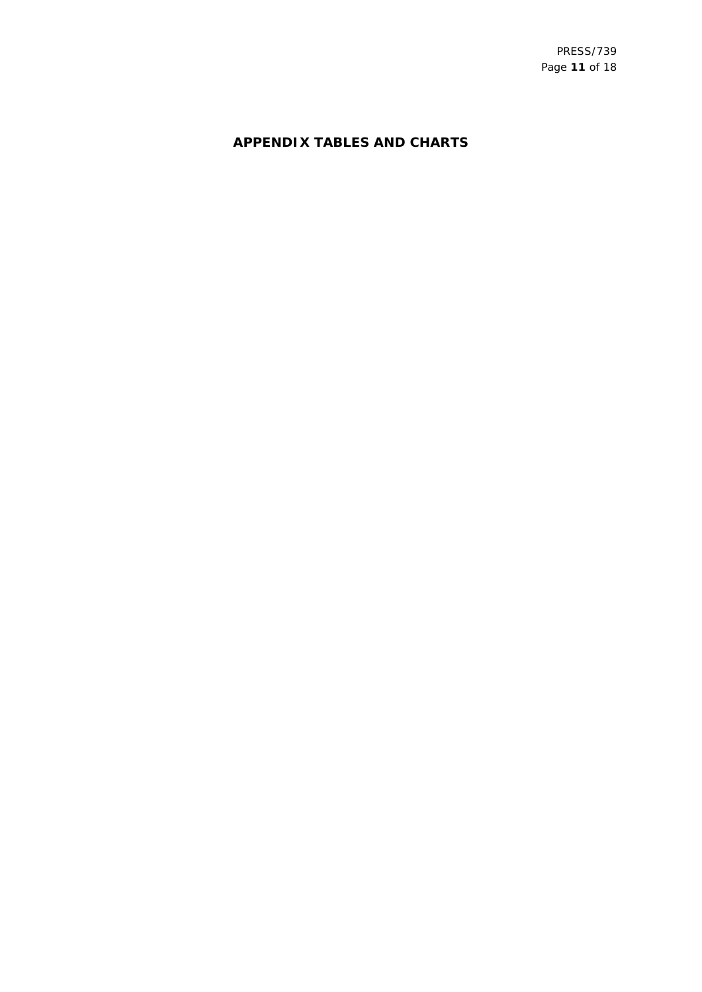## **APPENDIX TABLES AND CHARTS**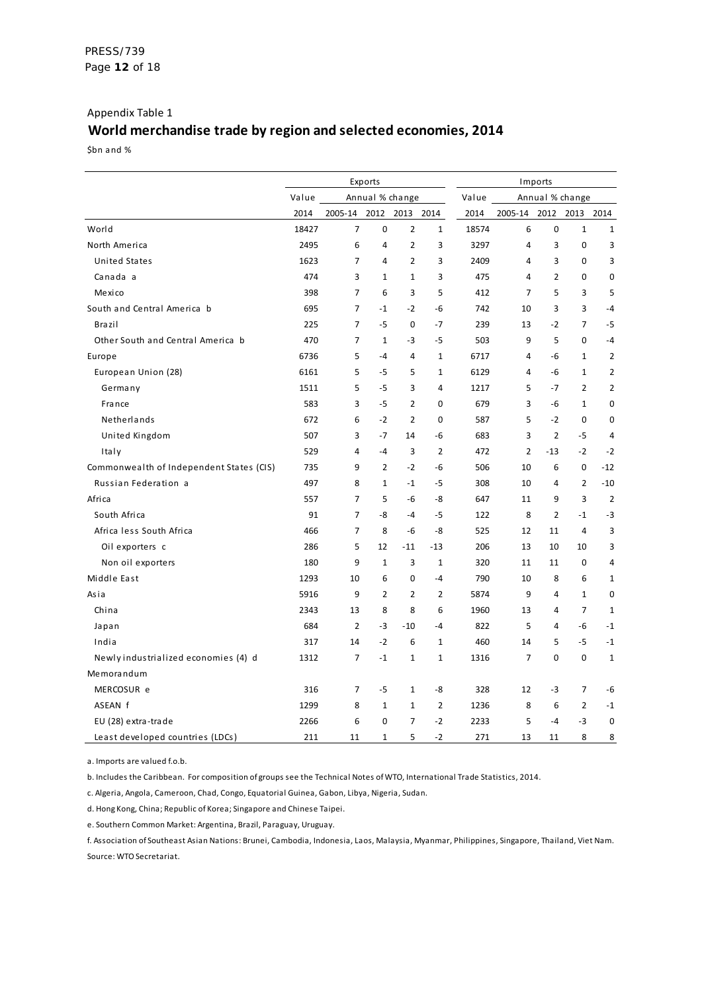## Appendix Table 1 **World merchandise trade by region and selected economies, 2014**

\$bn and %

|                                          |       |                        | Exports        |                 | Imports        |       |                |                 |                |                |
|------------------------------------------|-------|------------------------|----------------|-----------------|----------------|-------|----------------|-----------------|----------------|----------------|
|                                          | Value |                        |                | Annual % change |                | Value |                | Annual % change |                |                |
|                                          | 2014  | 2005-14 2012 2013 2014 |                |                 |                | 2014  | 2005-14        |                 | 2012 2013 2014 |                |
| World                                    | 18427 | $\overline{7}$         | $\mathbf 0$    | $\overline{2}$  | $\mathbf{1}$   | 18574 | 6              | $\mathbf 0$     | $\mathbf{1}$   | $\mathbf{1}$   |
| North America                            | 2495  | 6                      | 4              | $\overline{2}$  | 3              | 3297  | 4              | 3               | 0              | 3              |
| <b>United States</b>                     | 1623  | $\overline{7}$         | 4              | $\overline{2}$  | 3              | 2409  | 4              | 3               | 0              | 3              |
| Canada a                                 | 474   | 3                      | $\mathbf{1}$   | $\mathbf{1}$    | 3              | 475   | $\overline{4}$ | $\overline{2}$  | 0              | $\bf{0}$       |
| Mexico                                   | 398   | $\overline{7}$         | 6              | 3               | 5              | 412   | $\overline{7}$ | 5               | 3              | 5              |
| South and Central America b              | 695   | $\overline{7}$         | $-1$           | $-2$            | $-6$           | 742   | 10             | 3               | 3              | $-4$           |
| <b>Brazil</b>                            | 225   | $\overline{7}$         | $-5$           | $\mathbf 0$     | $-7$           | 239   | 13             | $-2$            | $\overline{7}$ | $-5$           |
| Other South and Central America b        | 470   | $\overline{7}$         | $\mathbf{1}$   | $-3$            | $-5$           | 503   | 9              | 5               | 0              | $-4$           |
| Europe                                   | 6736  | 5                      | $-4$           | 4               | $\mathbf{1}$   | 6717  | 4              | $-6$            | $\mathbf{1}$   | $\overline{2}$ |
| European Union (28)                      | 6161  | 5                      | -5             | 5               | 1              | 6129  | 4              | -6              | $\mathbf{1}$   | $\overline{2}$ |
| Germany                                  | 1511  | 5                      | $-5$           | 3               | 4              | 1217  | 5              | $-7$            | $\overline{2}$ | $\overline{2}$ |
| France                                   | 583   | 3                      | $-5$           | $\overline{2}$  | 0              | 679   | 3              | $-6$            | $\mathbf{1}$   | 0              |
| Netherlands                              | 672   | 6                      | $-2$           | $\overline{2}$  | 0              | 587   | 5              | $-2$            | 0              | 0              |
| United Kingdom                           | 507   | 3                      | $-7$           | 14              | -6             | 683   | 3              | $\overline{2}$  | $-5$           | 4              |
| Italy                                    | 529   | $\overline{4}$         | $-4$           | 3               | $\overline{2}$ | 472   | $\overline{2}$ | $-13$           | $-2$           | $-2$           |
| Commonwealth of Independent States (CIS) | 735   | 9                      | $\overline{2}$ | $-2$            | $-6$           | 506   | 10             | 6               | 0              | $-12$          |
| Russian Federation a                     | 497   | 8                      | $\mathbf{1}$   | $-1$            | $-5$           | 308   | 10             | 4               | $\overline{2}$ | $-10$          |
| Africa                                   | 557   | $\overline{7}$         | 5              | $-6$            | -8             | 647   | 11             | 9               | 3              | $\overline{2}$ |
| South Africa                             | 91    | $\overline{7}$         | -8             | $-4$            | $-5$           | 122   | 8              | $\overline{2}$  | $-1$           | $-3$           |
| Africa less South Africa                 | 466   | $\overline{7}$         | 8              | -6              | -8             | 525   | 12             | 11              | 4              | 3              |
| Oil exporters c                          | 286   | 5                      | 12             | $-11$           | $-13$          | 206   | 13             | 10              | 10             | 3              |
| Non oil exporters                        | 180   | 9                      | $\mathbf{1}$   | 3               | $\mathbf{1}$   | 320   | 11             | 11              | 0              | $\overline{4}$ |
| Middle East                              | 1293  | 10                     | 6              | 0               | $-4$           | 790   | 10             | 8               | 6              | 1              |
| Asia                                     | 5916  | 9                      | 2              | 2               | 2              | 5874  | 9              | 4               | $\mathbf{1}$   | 0              |
| China                                    | 2343  | 13                     | 8              | 8               | 6              | 1960  | 13             | 4               | $\overline{7}$ | $\mathbf{1}$   |
| Japan                                    | 684   | $\overline{2}$         | -3             | $-10$           | $-4$           | 822   | 5              | 4               | -6             | $-1$           |
| India                                    | 317   | 14                     | $-2$           | 6               | $\mathbf{1}$   | 460   | 14             | 5               | $-5$           | $-1$           |
| Newly industrialized economies (4) d     | 1312  | 7                      | $-1$           | $\mathbf{1}$    | $1\,$          | 1316  | 7              | 0               | 0              | $1\,$          |
| Memorandum                               |       |                        |                |                 |                |       |                |                 |                |                |
| MERCOSUR e                               | 316   | 7                      | $-5$           | $\mathbf{1}$    | -8             | 328   | 12             | -3              | $\overline{7}$ | -6             |
| ASEAN f                                  | 1299  | 8                      | $\mathbf{1}$   | $\mathbf{1}$    | $\overline{2}$ | 1236  | 8              | 6               | $\overline{2}$ | $-1$           |
| EU (28) extra-trade                      | 2266  | 6                      | 0              | $\overline{7}$  | $-2$           | 2233  | 5              | $-4$            | $-3$           | $\mathbf 0$    |
| Least developed countries (LDCs)         | 211   | 11                     | 1              | 5               | $-2$           | 271   | 13             | 11              | 8              | 8              |

a. Imports are valued f.o.b.

b. Includes the Caribbean. For composition of groups see the Technical Notes of WTO, International Trade Statistics, 2014.

c. Algeria, Angola, Cameroon, Chad, Congo, Equatorial Guinea, Gabon, Libya, Nigeria, Sudan.

d. Hong Kong, China; Republic of Korea; Singapore and Chinese Taipei.

e. Southern Common Market: Argentina, Brazil, Paraguay, Uruguay.

f. Association of Southeast Asian Nations: Brunei, Cambodia, Indonesia, Laos, Malaysia, Myanmar, Philippines, Singapore, Thailand, Viet Nam. Source: WTO Secretariat.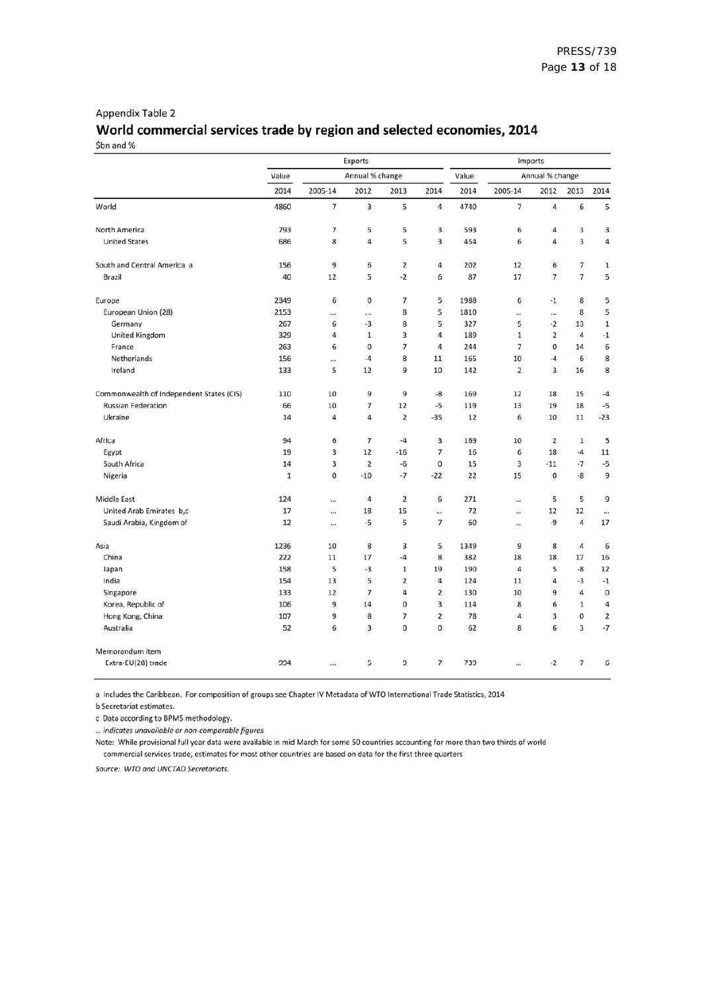### Appendix Table 2 World commercial services trade by region and selected economies, 2014 \$bn and %

|                                          |              | Exports   | Imports         |                |                         |       |                 |                |                |                |  |
|------------------------------------------|--------------|-----------|-----------------|----------------|-------------------------|-------|-----------------|----------------|----------------|----------------|--|
|                                          | Value        |           | Annual % change |                |                         | Value | Annual % change |                |                |                |  |
|                                          | 2014         | 2005-14   | 2012            | 2013           | 2014                    | 2014  | 2005-14         | 2012           | 2013           | 2014           |  |
| World                                    | 4860         | 7         | 3               | 5              | 4                       | 4740  | 7               | 4              | 6              | 5              |  |
| North America                            | 793          | 7         | 5               | 5              | 3                       | 593   | 6               | 4              | 3              | 3              |  |
| <b>United States</b>                     | 686          | 8         | 4               | 5              | 3                       | 454   | 6               | 4              | 3              | 4              |  |
| South and Central America a              | 156          | 9         | 6               | $\overline{2}$ | 4                       | 202   | 12              | 6              | 7              | $\,1\,$        |  |
| Brazil                                   | 40           | 12        | 5               | $-2$           | 6                       | 87    | 17              | 7              | $\overline{7}$ | 5              |  |
| Europe                                   | 2349         | 6         | 0               | 7              | 5                       | 1988  | 6               | $-1$           | 8              | 5              |  |
| European Union (28)                      | 2153         |           |                 | 8              | 5                       | 1810  |                 |                | 8              | 5              |  |
| Germany                                  | 267          | 6         | -3              | 8              | 5                       | 327   | 5               | $-2$           | 13             | $\mathbf 1$    |  |
| United Kingdom                           | 329          | 4         | 1               | 3              | 4                       | 189   | 1               | 2              | 4              | $^{\rm -1}$    |  |
| France                                   | 263          | 6         | 0               | 7              | 4                       | 244   | 7               | 0              | 14             | 6              |  |
| Netherlands                              | 156          |           | -4              | 8              | 11                      | 165   | 10              | -4             | 6              | 8              |  |
| Ireland                                  | 133          | 5         | 12              | 9              | 10                      | 142   | 2               | 3              | 16             | 8              |  |
| Commonwealth of Independent States (CIS) | 110          | 10        | 9               | 9              | -8                      | 169   | 12              | 18             | 15             | $-4$           |  |
| <b>Russian Federation</b>                | 66           | 10        | 7               | 12             | -5                      | 119   | 13              | 19             | 18             | $-5$           |  |
| Ukraine                                  | 14           | 4         | 4               | $\overline{2}$ | $-35$                   | 12    | 6               | 10             | 11             | $-23$          |  |
| Africa                                   | 94           | 6         | $\overline{7}$  | $-4$           | 3                       | 169   | 10              | $\overline{2}$ | $\mathbf{1}$   | 5              |  |
| Egypt                                    | 19           | 3         | 12              | $-16$          | 7                       | 16    | 6               | 18             | $-4$           | 11             |  |
| South Africa                             | 14           | 3         | $\overline{2}$  | $-6$           | 0                       | 15    | 3               | $-11$          | $-7$           | -5             |  |
| Nigeria                                  | $\mathbf{1}$ | 0         | $-10$           | $-7$           | $-22$                   | 22    | 15              | 0              | -8             | 9              |  |
| Middle East                              | 124          |           | 4               | $\overline{2}$ | 6                       | 271   |                 | 5              | 5              | 9              |  |
| United Arab Emirates b,c                 | 17           |           | 18              | 15             |                         | 72    |                 | 12             | 12             | $\cdots$       |  |
| Saudi Arabia, Kingdom of                 | 12           |           | -5              | 5              | 7                       | 60    |                 | -9             | 4              | 17             |  |
| Asia                                     | 1236         | 10        | 8               | 3              | 5                       | 1349  | 9               | 8              | 4              | 6              |  |
| China                                    | 222          | 11        | 17              | $-4$           | 8                       | 382   | 18              | 18             | 17             | 16             |  |
| Japan                                    | 158          | 5         | -3              | $1\,$          | 19                      | 190   | 4               | 5              | -8             | 12             |  |
| India                                    | 154          | 13        | 5               | $\overline{2}$ | 4                       | 124   | 11              | 4              | -3             | $-1$           |  |
| Singapore                                | 133          | 12        | $\overline{7}$  | 4              | 2                       | 130   | 10              | 9              | 4              | $\mathbf 0$    |  |
| Korea, Republic of                       | 106          | 9         | 14              | $\mathbf 0$    | 3                       | 114   | 8               | 6              | $1\,$          | 4              |  |
| Hong Kong, China                         | 107          | 9         | 8               | $\overline{7}$ | $\overline{\mathbf{2}}$ | 78    | 4               | 3              | 0              | $\overline{2}$ |  |
| Australia                                | 52           | 6         | 3               | $\mathbf 0$    | 0                       | 62    | 8               | 6              | 3              | $-7$           |  |
| Memorandum item                          |              |           |                 |                |                         |       |                 |                |                |                |  |
| Extra-EU(28) trade                       | 994          | $\ddotsc$ | 5               | 9              | $\overline{7}$          | 739   | $\ddotsc$       | $-2$           | $\overline{7}$ | 6              |  |

a Includes the Caribbean. For composition of groups see Chapter IV Metadata of WTO International Trade Statistics, 2014

b Secretariat estimates.

c Data according to BPM5 methodology.

... indicates unavailable or non-comparable figures.

Note: While provisional full year data were available in mid March for some 50 countries accounting for more than two thirds of world commercial services trade, estimates for most other countries are based on data for the first three quarters

Source: WTO and UNCTAD Secretariats.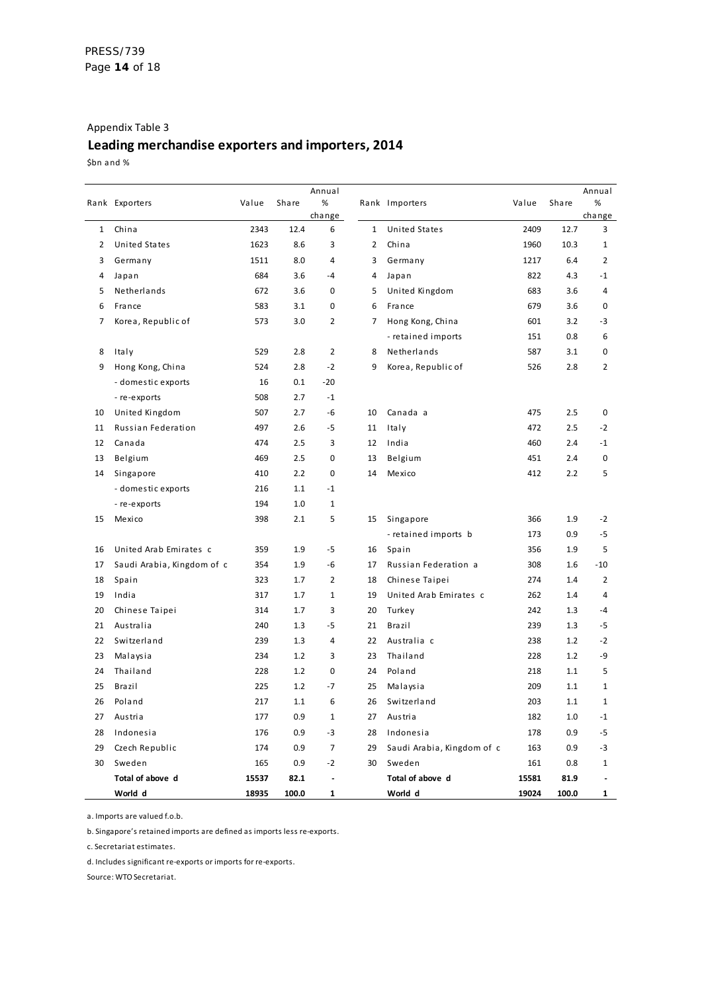## Appendix Table 3 **Leading merchandise exporters and importers, 2014**

\$bn and %

|    |                            |       |       | Annual                   |    |                            |       |       | Annual         |
|----|----------------------------|-------|-------|--------------------------|----|----------------------------|-------|-------|----------------|
|    | Rank Exporters             | Value | Share | $\%$                     |    | Rank Importers             | Value | Share | $\%$<br>change |
| 1  | China                      | 2343  | 12.4  | change<br>6              | 1  | <b>United States</b>       | 2409  | 12.7  | 3              |
| 2  | <b>United States</b>       | 1623  | 8.6   | 3                        | 2  | China                      | 1960  | 10.3  | 1              |
| 3  | Germany                    | 1511  | 8.0   | 4                        | 3  | Germany                    | 1217  | 6.4   | $\overline{2}$ |
| 4  | Japan                      | 684   | 3.6   | $-4$                     | 4  | Japan                      | 822   | 4.3   | $-1$           |
| 5  | Netherlands                | 672   | 3.6   | 0                        | 5  | United Kingdom             | 683   | 3.6   | 4              |
| 6  | France                     | 583   | 3.1   | 0                        | 6  | France                     | 679   | 3.6   | 0              |
| 7  | Korea, Republic of         | 573   | 3.0   | 2                        | 7  | Hong Kong, China           | 601   | 3.2   | -3             |
|    |                            |       |       |                          |    | - retained imports         | 151   | 0.8   | 6              |
| 8  | Italy                      | 529   | 2.8   | $\overline{2}$           | 8  | Netherlands                | 587   | 3.1   | 0              |
| 9  | Hong Kong, China           | 524   | 2.8   | $-2$                     | 9  | Korea, Republic of         | 526   | 2.8   | $\overline{2}$ |
|    | - domestic exports         | 16    | 0.1   | $-20$                    |    |                            |       |       |                |
|    | - re-exports               | 508   | 2.7   | $-1$                     |    |                            |       |       |                |
| 10 | United Kingdom             | 507   | 2.7   | -6                       | 10 | Canada a                   | 475   | 2.5   | 0              |
| 11 | Russian Federation         | 497   | 2.6   | -5                       | 11 | Italy                      | 472   | 2.5   | $-2$           |
| 12 | Canada                     | 474   | 2.5   | 3                        | 12 | India                      | 460   | 2.4   | $-1$           |
| 13 | Belgium                    | 469   | 2.5   | 0                        | 13 | Belgium                    | 451   | 2.4   | 0              |
| 14 | Singapore                  | 410   | 2.2   | 0                        | 14 | Mexico                     | 412   | 2.2   | 5              |
|    | - domestic exports         | 216   | 1.1   | $-1$                     |    |                            |       |       |                |
|    | - re-exports               | 194   | 1.0   | 1                        |    |                            |       |       |                |
| 15 | Mexico                     | 398   | 2.1   | 5                        | 15 | Singapore                  | 366   | 1.9   | $-2$           |
|    |                            |       |       |                          |    | - retained imports b       | 173   | 0.9   | -5             |
| 16 | United Arab Emirates c     | 359   | 1.9   | -5                       | 16 | Spain                      | 356   | 1.9   | 5              |
| 17 | Saudi Arabia, Kingdom of c | 354   | 1.9   | -6                       | 17 | Russian Federation a       | 308   | 1.6   | $-10$          |
| 18 | Spain                      | 323   | 1.7   | $\overline{2}$           | 18 | Chinese Taipei             | 274   | 1.4   | $\overline{2}$ |
| 19 | India                      | 317   | 1.7   | 1                        | 19 | United Arab Emirates c     | 262   | 1.4   | 4              |
| 20 | Chinese Taipei             | 314   | 1.7   | 3                        | 20 | Turkey                     | 242   | 1.3   | -4             |
| 21 | Australia                  | 240   | 1.3   | -5                       | 21 | Brazil                     | 239   | 1.3   | -5             |
| 22 | Switzerland                | 239   | 1.3   | 4                        | 22 | Australia c                | 238   | 1.2   | $-2$           |
| 23 | Malaysia                   | 234   | 1.2   | 3                        | 23 | Thailand                   | 228   | 1.2   | -9             |
| 24 | Thailand                   | 228   | 1.2   | 0                        | 24 | Poland                     | 218   | 1.1   | 5              |
| 25 | Brazil                     | 225   | 1.2   | -7                       | 25 | Malaysia                   | 209   | 1.1   | 1              |
| 26 | Poland                     | 217   | 1.1   | 6                        | 26 | Switzerland                | 203   | 1.1   | 1              |
| 27 | Austria                    | 177   | 0.9   | 1                        | 27 | Austria                    | 182   | 1.0   | $-1$           |
| 28 | Indonesia                  | 176   | 0.9   | $-3$                     | 28 | Indonesia                  | 178   | 0.9   | -5             |
| 29 | Czech Republic             | 174   | 0.9   | $\overline{7}$           | 29 | Saudi Arabia, Kingdom of c | 163   | 0.9   | $-3$           |
| 30 | Sweden                     | 165   | 0.9   | $-2$                     | 30 | Sweden                     | 161   | 0.8   | 1              |
|    | Total of above d           | 15537 | 82.1  | $\overline{\phantom{a}}$ |    | Total of above d           | 15581 | 81.9  |                |
|    | World d                    | 18935 | 100.0 | 1                        |    | World d                    | 19024 | 100.0 | $\mathbf{1}$   |

a. Imports are valued f.o.b.

b. Singapore's retained imports are defined as imports less re-exports.

c. Secretariat estimates.

d. Includes significant re-exports or imports for re-exports.

Source: WTO Secretariat.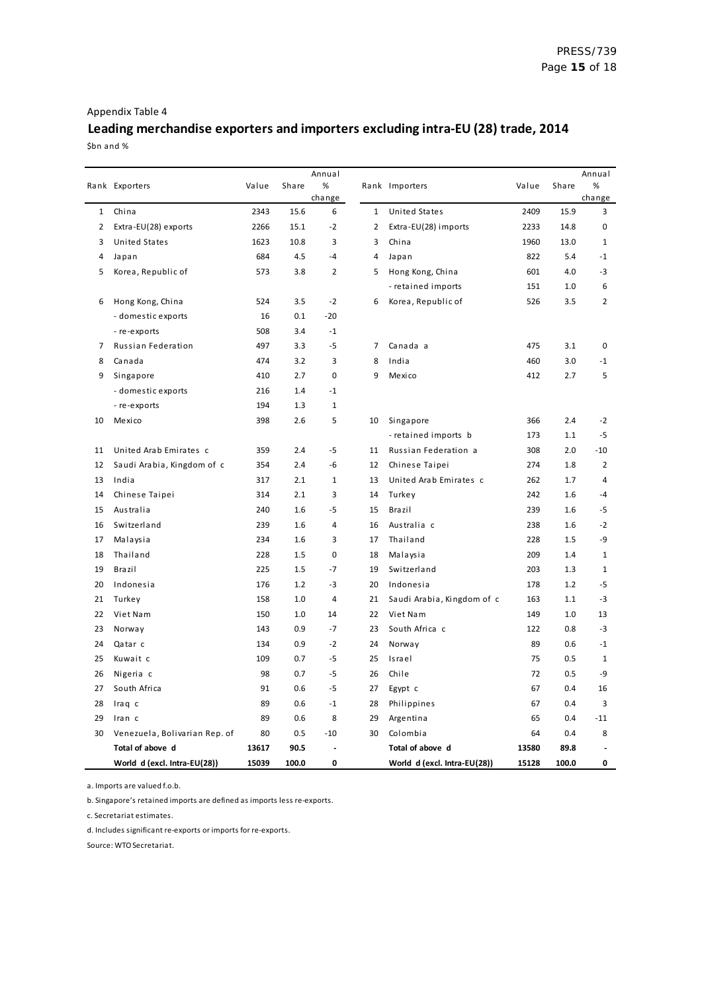## Appendix Table 4

## **Leading merchandise exporters and importers excluding intra-EU (28) trade, 2014** \$bn and %

|              |                               |            |              | Annual         |                |                                        |            |            | Annual             |
|--------------|-------------------------------|------------|--------------|----------------|----------------|----------------------------------------|------------|------------|--------------------|
|              | Rank Exporters                | Value      | <b>Share</b> | %              |                | Rank Importers                         | Value      | Share      | %<br>change        |
| $\mathbf{1}$ | China                         | 2343       | 15.6         | change<br>6    | $\mathbf{1}$   | United States                          | 2409       | 15.9       | 3                  |
| 2            | Extra-EU(28) exports          | 2266       | 15.1         | $-2$           | $\overline{2}$ | Extra-EU(28) imports                   | 2233       | 14.8       | $\mathbf 0$        |
| 3            | <b>United States</b>          | 1623       | 10.8         | 3              | 3              | China                                  | 1960       | 13.0       | $\mathbf{1}$       |
| 4            | Japan                         | 684        | 4.5          | $-4$           | 4              | Japan                                  | 822        | 5.4        | $-1$               |
| 5            | Korea, Republic of            | 573        | 3.8          | 2              | 5              | Hong Kong, China                       | 601        | 4.0        | -3                 |
|              |                               |            |              |                |                | - retained imports                     | 151        | 1.0        | 6                  |
| 6            | Hong Kong, China              | 524        | 3.5          | $-2$           | 6              | Korea, Republic of                     | 526        | 3.5        | $\overline{2}$     |
|              | - domestic exports            | 16         | 0.1          | $-20$          |                |                                        |            |            |                    |
|              | - re-exports                  | 508        | 3.4          | $-1$           |                |                                        |            |            |                    |
| 7            | Russian Federation            | 497        | 3.3          | $-5$           | 7              | Canada a                               | 475        | 3.1        | 0                  |
| 8            | Canada                        | 474        | 3.2          | 3              | 8              | India                                  | 460        | 3.0        | $-1$               |
| 9            | Singapore                     | 410        | 2.7          | 0              | 9              | Mexico                                 | 412        | 2.7        | 5                  |
|              | - domestic exports            | 216        | 1.4          | $-1$           |                |                                        |            |            |                    |
|              | - re-exports                  | 194        | 1.3          | $1\,$          |                |                                        |            |            |                    |
| 10           | Mexico                        | 398        | 2.6          | 5              | 10             | Singapore                              | 366        | 2.4        | $-2$               |
|              |                               |            |              |                |                | - retained imports b                   | 173        | 1.1        | $-5$               |
| 11           | United Arab Emirates c        | 359        | 2.4          | $-5$           | 11             | Russian Federation a                   | 308        | 2.0        | $-10$              |
| 12           | Saudi Arabia, Kingdom of c    | 354        | 2.4          | -6             | 12             | Chinese Taipei                         | 274        | 1.8        | $\overline{2}$     |
| 13           | India                         | 317        | 2.1          | $\mathbf{1}$   | 13             | United Arab Emirates c                 | 262        | 1.7        | 4                  |
| 14           | Chinese Taipei                | 314        | 2.1          | 3              | 14             | Turkey                                 | 242        | 1.6        | $-4$               |
| 15           | Australia                     | 240        | 1.6          | $-5$           | 15             | Brazil                                 | 239        | 1.6        | $-5$               |
| 16           | Switzerland                   | 239        | 1.6          | $\overline{4}$ | 16             | Australia c                            | 238        | 1.6        | $-2$               |
| 17           |                               | 234        | 1.6          | 3              | 17             | Thailand                               | 228        | 1.5        | -9                 |
| 18           | Malaysia<br>Thailand          | 228        | 1.5          | $\mathbf 0$    | 18             | Malaysia                               | 209        | 1.4        | $\mathbf{1}$       |
| 19           | Brazil                        | 225        | 1.5          | $-7$           | 19             | Switzerland                            | 203        | 1.3        | $\mathbf{1}$       |
|              |                               |            |              | $-3$           | 20             |                                        |            |            | $-5$               |
| 20<br>21     | Indonesia<br>Turkey           | 176<br>158 | 1.2<br>1.0   | 4              | 21             | Indonesia                              | 178<br>163 | 1.2        | $-3$               |
| 22           | Viet Nam                      | 150        |              | 14             | 22             | Saudi Arabia, Kingdom of c<br>Viet Nam | 149        | 1.1<br>1.0 | 13                 |
| 23           |                               | 143        | 1.0<br>0.9   | $-7$           | 23             | South Africa c                         | 122        |            | $-3$               |
|              | Norway                        |            |              |                |                |                                        |            | 0.8        |                    |
| 24<br>25     | Qatar c                       | 134        | 0.9<br>0.7   | $-2$<br>$-5$   | 24<br>25       | Norway                                 | 89<br>75   | 0.6        | $-1$               |
|              | Kuwait c                      | 109        |              | $-5$           |                | Israel                                 |            | 0.5        | $\mathbf{1}$<br>-9 |
| 26           | Nigeria c                     | 98         | 0.7          |                | 26             | Chile                                  | 72         | 0.5        |                    |
| 27           | South Africa                  | 91         | 0.6          | $-5$           | 27             | Egypt c                                | 67         | 0.4        | 16                 |
| 28           | Iraq c                        | 89         | 0.6          | $-1$           | 28             | Philippines                            | 67         | 0.4        | 3                  |
| 29           | Iran c                        | 89         | 0.6          | 8              | 29             | Argentina                              | 65         | 0.4        | $-11$              |
| 30           | Venezuela, Bolivarian Rep. of | 80         | 0.5          | $-10$          | 30             | Colombia                               | 64         | 0.4        | 8                  |
|              | Total of above d              | 13617      | 90.5         | 0              |                | Total of above d                       | 13580      | 89.8       | 0                  |
|              | World d (excl. Intra-EU(28))  | 15039      | 100.0        |                |                | World d (excl. Intra-EU(28))           | 15128      | 100.0      |                    |

a. Imports are valued f.o.b.

b. Singapore's retained imports are defined as imports less re-exports.

c. Secretariat estimates.

d. Includes significant re-exports or imports for re-exports.

Source: WTO Secretariat.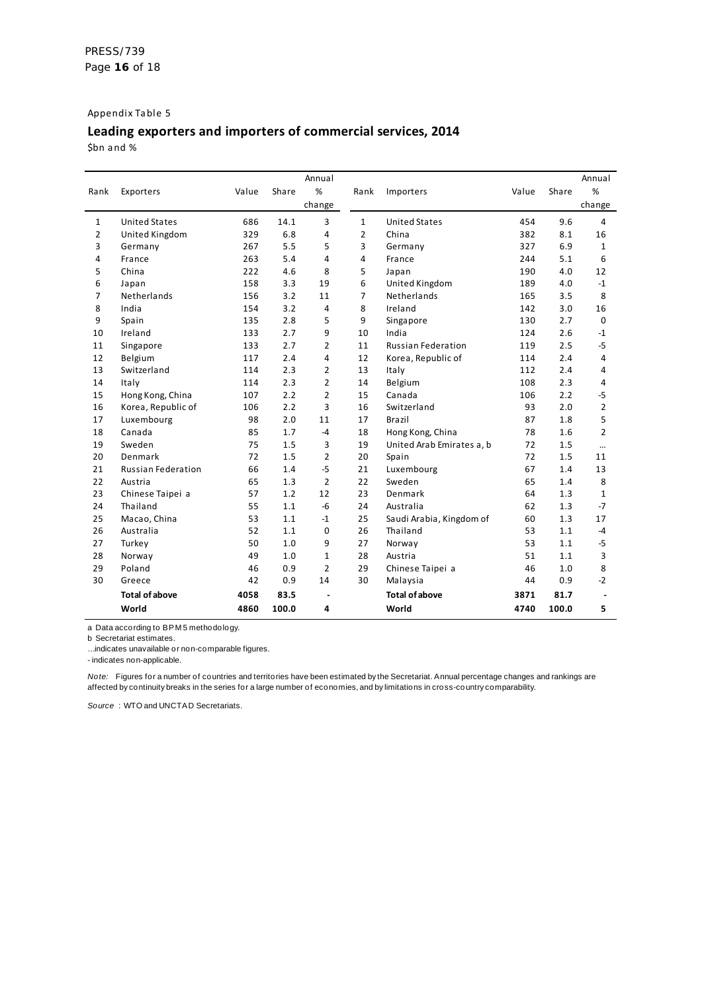#### Appendix Table 5

# **Leading exporters and importers of commercial services, 2014**

\$bn and %

|      |                           |       |       | Annual         |                |                           |       |       | Annual         |
|------|---------------------------|-------|-------|----------------|----------------|---------------------------|-------|-------|----------------|
| Rank | Exporters                 | Value | Share | %              | Rank           | Importers                 | Value | Share | %              |
|      |                           |       |       | change         |                |                           |       |       | change         |
| 1    | <b>United States</b>      | 686   | 14.1  | 3              | $\mathbf{1}$   | <b>United States</b>      | 454   | 9.6   | 4              |
| 2    | United Kingdom            | 329   | 6.8   | 4              | 2              | China                     | 382   | 8.1   | 16             |
| 3    | Germany                   | 267   | 5.5   | 5              | 3              | Germany                   | 327   | 6.9   | 1              |
| 4    | France                    | 263   | 5.4   | 4              | 4              | France                    | 244   | 5.1   | 6              |
| 5    | China                     | 222   | 4.6   | 8              | 5              | Japan                     | 190   | 4.0   | 12             |
| 6    | Japan                     | 158   | 3.3   | 19             | 6              | United Kingdom            | 189   | 4.0   | $-1$           |
| 7    | Netherlands               | 156   | 3.2   | 11             | $\overline{7}$ | Netherlands               | 165   | 3.5   | 8              |
| 8    | India                     | 154   | 3.2   | 4              | 8              | Ireland                   | 142   | 3.0   | 16             |
| 9    | Spain                     | 135   | 2.8   | 5              | 9              | Singapore                 | 130   | 2.7   | $\mathbf 0$    |
| 10   | Ireland                   | 133   | 2.7   | 9              | 10             | India                     | 124   | 2.6   | $-1$           |
| 11   | Singapore                 | 133   | 2.7   | 2              | 11             | <b>Russian Federation</b> | 119   | 2.5   | $-5$           |
| 12   | Belgium                   | 117   | 2.4   | 4              | 12             | Korea, Republic of        | 114   | 2.4   | 4              |
| 13   | Switzerland               | 114   | 2.3   | 2              | 13             | Italy                     | 112   | 2.4   | 4              |
| 14   | Italy                     | 114   | 2.3   | 2              | 14             | Belgium                   | 108   | 2.3   | 4              |
| 15   | Hong Kong, China          | 107   | 2.2   | 2              | 15             | Canada                    | 106   | 2.2   | $-5$           |
| 16   | Korea, Republic of        | 106   | 2.2   | 3              | 16             | Switzerland               | 93    | 2.0   | $\overline{2}$ |
| 17   | Luxembourg                | 98    | 2.0   | 11             | 17             | <b>Brazil</b>             | 87    | 1.8   | 5              |
| 18   | Canada                    | 85    | 1.7   | $-4$           | 18             | Hong Kong, China          | 78    | 1.6   | $\overline{2}$ |
| 19   | Sweden                    | 75    | 1.5   | 3              | 19             | United Arab Emirates a, b | 72    | 1.5   | $\cdots$       |
| 20   | Denmark                   | 72    | 1.5   | 2              | 20             | Spain                     | 72    | 1.5   | 11             |
| 21   | <b>Russian Federation</b> | 66    | 1.4   | $-5$           | 21             | Luxembourg                | 67    | 1.4   | 13             |
| 22   | Austria                   | 65    | 1.3   | $\overline{2}$ | 22             | Sweden                    | 65    | 1.4   | 8              |
| 23   | Chinese Taipei a          | 57    | 1.2   | 12             | 23             | Denmark                   | 64    | 1.3   | 1              |
| 24   | Thailand                  | 55    | 1.1   | $-6$           | 24             | Australia                 | 62    | 1.3   | $-7$           |
| 25   | Macao, China              | 53    | 1.1   | $-1$           | 25             | Saudi Arabia, Kingdom of  | 60    | 1.3   | 17             |
| 26   | Australia                 | 52    | 1.1   | 0              | 26             | Thailand                  | 53    | 1.1   | $-4$           |
| 27   | Turkey                    | 50    | 1.0   | 9              | 27             | Norway                    | 53    | 1.1   | $-5$           |
| 28   | Norway                    | 49    | 1.0   | 1              | 28             | Austria                   | 51    | 1.1   | 3              |
| 29   | Poland                    | 46    | 0.9   | $\overline{2}$ | 29             | Chinese Taipei a          | 46    | 1.0   | 8              |
| 30   | Greece                    | 42    | 0.9   | 14             | 30             | Malaysia                  | 44    | 0.9   | $-2$           |
|      | <b>Total of above</b>     | 4058  | 83.5  |                |                | <b>Total of above</b>     | 3871  | 81.7  |                |
|      | World                     | 4860  | 100.0 | 4              |                | World                     | 4740  | 100.0 | 5              |

a Data according to BPM 5 methodology.

b Secretariat estimates.

… indicates unavailable or non-comparable figures.

- indicates non-applicable.

*Note:* Figures for a number of countries and territories have been estimated by the Secretariat. Annual percentage changes and rankings are affected by continuity breaks in the series for a large number of economies, and by limitations in cross-country comparability.

*So urce* : WTO and UNCTAD Secretariats.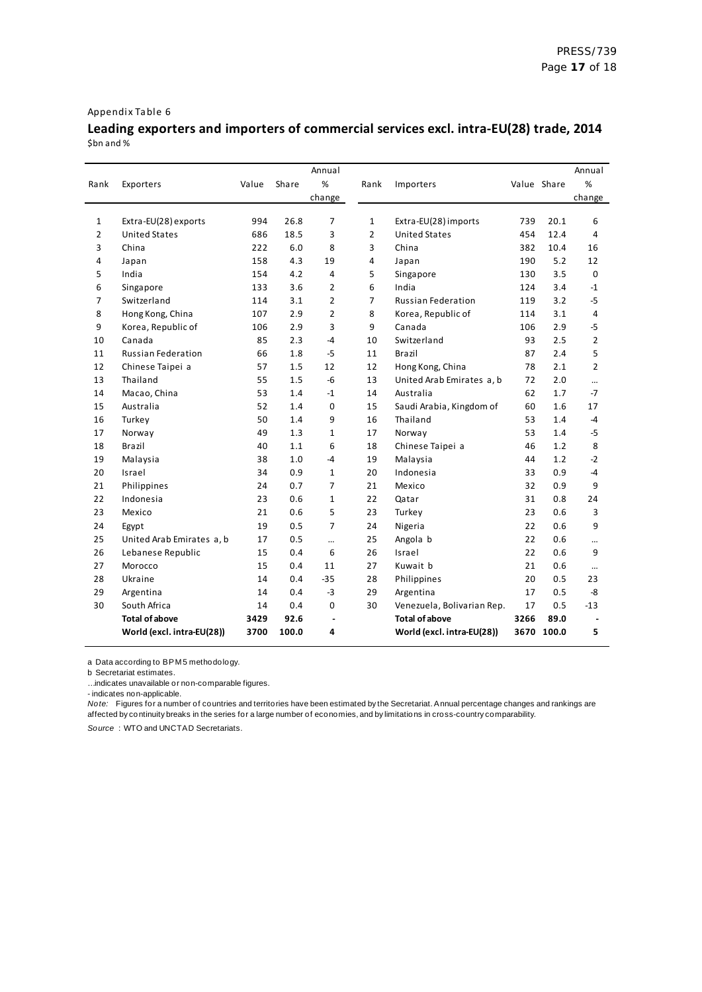#### Appendix Table 6

## **Leading exporters and importers of commercial services excl. intra-EU(28) trade, 2014** \$bn and %

|                |                            |       |       | Annual         |                |                            |             |            | Annual         |
|----------------|----------------------------|-------|-------|----------------|----------------|----------------------------|-------------|------------|----------------|
| Rank           | Exporters                  | Value | Share | %              | Rank           | Importers                  | Value Share |            | %              |
|                |                            |       |       | change         |                |                            |             |            | change         |
|                |                            |       |       |                |                |                            |             |            |                |
| $\mathbf{1}$   | Extra-EU(28) exports       | 994   | 26.8  | 7              | $\mathbf{1}$   | Extra-EU(28) imports       | 739         | 20.1       | 6              |
| $\overline{2}$ | <b>United States</b>       | 686   | 18.5  | 3              | $\overline{2}$ | <b>United States</b>       | 454         | 12.4       | 4              |
| 3              | China                      | 222   | 6.0   | 8              | 3              | China                      | 382         | 10.4       | 16             |
| 4              | Japan                      | 158   | 4.3   | 19             | 4              | Japan                      | 190         | 5.2        | 12             |
| 5              | India                      | 154   | 4.2   | 4              | 5              | Singapore                  | 130         | 3.5        | $\mathbf 0$    |
| 6              | Singapore                  | 133   | 3.6   | $\overline{2}$ | 6              | India                      | 124         | 3.4        | $-1$           |
| $\overline{7}$ | Switzerland                | 114   | 3.1   | $\overline{2}$ | $\overline{7}$ | <b>Russian Federation</b>  | 119         | 3.2        | $-5$           |
| 8              | Hong Kong, China           | 107   | 2.9   | $\overline{2}$ | 8              | Korea, Republic of         | 114         | 3.1        | 4              |
| 9              | Korea, Republic of         | 106   | 2.9   | 3              | 9              | Canada                     | 106         | 2.9        | $-5$           |
| 10             | Canada                     | 85    | 2.3   | $-4$           | 10             | Switzerland                | 93          | 2.5        | $\overline{2}$ |
| 11             | <b>Russian Federation</b>  | 66    | 1.8   | $-5$           | 11             | Brazil                     | 87          | 2.4        | 5              |
| 12             | Chinese Taipei a           | 57    | 1.5   | 12             | 12             | Hong Kong, China           | 78          | 2.1        | $\overline{2}$ |
| 13             | Thailand                   | 55    | 1.5   | $-6$           | 13             | United Arab Emirates a, b  | 72          | 2.0        |                |
| 14             | Macao, China               | 53    | 1.4   | $-1$           | 14             | Australia                  | 62          | 1.7        | $-7$           |
| 15             | Australia                  | 52    | 1.4   | $\mathbf 0$    | 15             | Saudi Arabia, Kingdom of   | 60          | 1.6        | 17             |
| 16             | Turkey                     | 50    | 1.4   | 9              | 16             | Thailand                   | 53          | 1.4        | -4             |
| 17             | Norway                     | 49    | 1.3   | $\mathbf{1}$   | 17             | Norway                     | 53          | 1.4        | $-5$           |
| 18             | Brazil                     | 40    | 1.1   | 6              | 18             | Chinese Taipei a           | 46          | 1.2        | 8              |
| 19             | Malaysia                   | 38    | 1.0   | $-4$           | 19             | Malaysia                   | 44          | 1.2        | $-2$           |
| 20             | Israel                     | 34    | 0.9   | $\mathbf{1}$   | 20             | Indonesia                  | 33          | 0.9        | $-4$           |
| 21             | Philippines                | 24    | 0.7   | $\overline{7}$ | 21             | Mexico                     | 32          | 0.9        | 9              |
| 22             | Indonesia                  | 23    | 0.6   | $\mathbf{1}$   | 22             | Qatar                      | 31          | 0.8        | 24             |
| 23             | Mexico                     | 21    | 0.6   | 5              | 23             | Turkey                     | 23          | 0.6        | 3              |
| 24             | Egypt                      | 19    | 0.5   | $\overline{7}$ | 24             | Nigeria                    | 22          | 0.6        | 9              |
| 25             | United Arab Emirates a, b  | 17    | 0.5   |                | 25             | Angola b                   | 22          | 0.6        |                |
| 26             | Lebanese Republic          | 15    | 0.4   | 6              | 26             | Israel                     | 22          | 0.6        | 9              |
| 27             | Morocco                    | 15    | 0.4   | 11             | 27             | Kuwait b                   | 21          | 0.6        | $\cdots$       |
| 28             | Ukraine                    | 14    | 0.4   | $-35$          | 28             | Philippines                | 20          | 0.5        | 23             |
| 29             | Argentina                  | 14    | 0.4   | $-3$           | 29             | Argentina                  | 17          | 0.5        | -8             |
| 30             | South Africa               | 14    | 0.4   | $\Omega$       | 30             | Venezuela, Bolivarian Rep. | 17          | 0.5        | $-13$          |
|                | <b>Total of above</b>      | 3429  | 92.6  | $\blacksquare$ |                | <b>Total of above</b>      | 3266        | 89.0       |                |
|                | World (excl. intra-EU(28)) | 3700  | 100.0 | 4              |                | World (excl. intra-EU(28)) |             | 3670 100.0 | 5              |

a Data according to BPM 5 methodology.

b Secretariat estimates.

… indicates unavailable or non-comparable figures.

- indicates non-applicable.

*Note:* Figures for a number of countries and territories have been estimated by the Secretariat. Annual percentage changes and rankings are affected by continuity breaks in the series for a large number of economies, and by limitations in cross-country comparability.

*Source* : WTO and UNCTAD Secretariats.